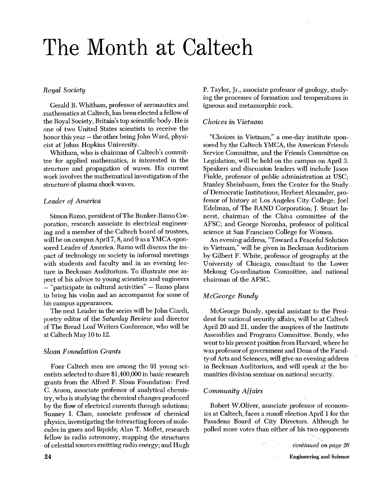# The Month at Caltech

# *Royal Society*

Gerald B. Whitham, professor of aeronautics and mathematics at Caltech, has been elected a fellow of the Royal Society, Britain's top scientific body. He is one of two United States scientists to receive the honor this year  $-$  the other being John Ward, physicist at Johns Hopkins University.

Whitham, who is chairman of Caltech's committee for applied mathematics, is interested in the structure and propagation of waves. His current work involves the mathematical investigation of the structure of plasma shock waves.

# *Leader of America*

Simon Ramo, president of The Bunker-Ramo Corporation, research associate in electrical engineering and a member of the Caltech board of trustees, will be on campus April 7, 8, and 9 as a YMCA-sponsored Leader of America. Ramo will discuss the impact of technology on society in informal meetings with students and faculty and in an evening lecture in Beckman Auditorium. To illustrate one aspect of his advice to young scientists and engineers  $-$  "participate in cultural activities"  $-$  Ramo plans to bring his violin and an accompanist for some of his campus appearances.

The next Leader in the series will be John Ciardi, poetry editor of the *Saturday Review* and director of The Bread Loaf Writers Conference, who will be at Caltech May 10 to 12.

#### *Sloan Foundation Grants*

Four Caltech men are among the 91 young scientists selected to share \$1,400,000 in basic research grants from the Alfred P. Sloan Foundation: Fred C. Anson, associate professor of analytical chemistry, who is studying the chemical changes produced by the flow of electrical currents through solutions; Sunney I. Chan, associate professor of chemical physics, investigating the interacting forces of molecules in gases and liquids; Alan T. Moffet, research fellow in radio astronomy, mapping the structures of celestial sources emitting radio energy; and Hugh

P. Taylor, Jr., associate professor of geology, studying the processes of formation and temperatures in igneous and metamorphic rock.

#### *Choices in Vietnam*

"Choices in Vietnam," a one-day institute sponsored by the Caltech YMCA, the American Friends Service Committee, and the Friends Committee on Legislation, will be held on the campus on April **3.**  Speakers and discussion leaders will include Jason Finkle, professor of public administration at USC; Stanley Sheinbaum, from the Center for the Study of Democratic Institutions; Herbert Alexander, professor of history at Los Angeles City College; Joel Edelman, of The RAND Corporation; J. Stuart Innerst, chairman of the China committee of the AFSC; and George Noronha, professor of political science at San Francisco College for Women.

An evening address, "Toward a Peaceful Solution in Vietnam," will be given in Beckman Auditorium by Gilbert F. White, professor of geography at the University of Chicago, consultant to the Lower Mekong Co-ordination Committee, and national chairman of the AFSC.

# *M cGeorge Bundy*

McGeorge Bundy, special assistant to the President for national security affairs, will be at Caltech April 20 and 21, under the auspices of the Institute Assemblies and Programs Committee. Bundy, who went to his present position from Harvard, where he was professor of government and Dean of the Faculty of Arts and Sciences, will give an evening address in Beckman Auditorium, and will speak at the humanities division seminar on national security.

### *Community Affairs*

Robert W.Oliver, associate professor of economics at Caltech, faces a runoff election April 1 for the Pasadena Board of City Directors. Although he polled more votes than either of his two opponents